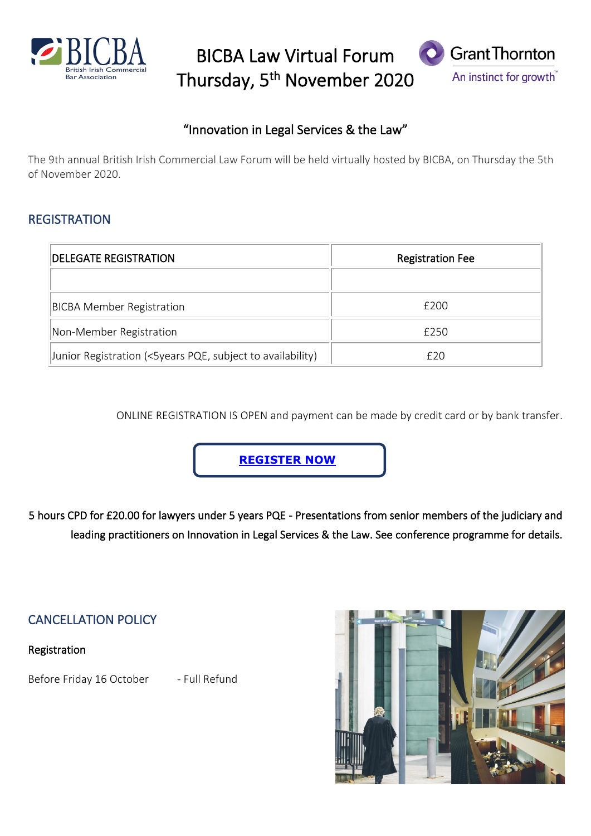

BICBA Law Virtual Forum Thursday, 5<sup>th</sup> November 2020



### "Innovation in Legal Services & the Law"

The 9th annual British Irish Commercial Law Forum will be held virtually hosted by BICBA, on Thursday the 5th of November 2020.

#### **REGISTRATION**

| <b>IDELEGATE REGISTRATION</b>                              | <b>Registration Fee</b> |
|------------------------------------------------------------|-------------------------|
|                                                            |                         |
| <b>BICBA Member Registration</b>                           | £200                    |
| Non-Member Registration                                    | £250                    |
| Junior Registration (<5years PQE, subject to availability) | f20                     |

ONLINE REGISTRATION IS OPEN and payment can be made by credit card or by bank transfer.

**[REGISTER NOW](https://col.eventsair.com/bicba-2020/bicba20)**

5 hours CPD for £20.00 for lawyers under 5 years PQE - Presentations from senior members of the judiciary and leading practitioners on Innovation in Legal Services & the Law. See conference programme for details.

CANCELLATION POLICY

Registration

Before Friday 16 October - Full Refund

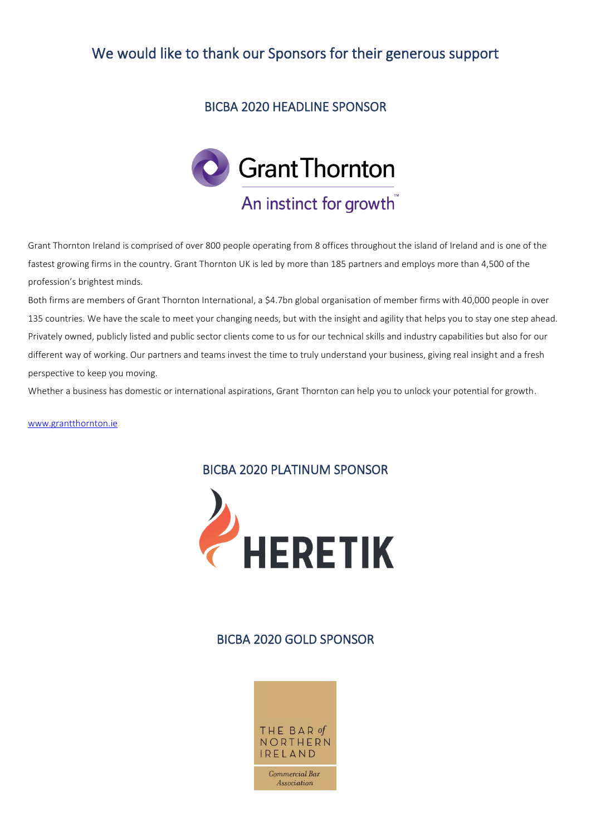## We would like to thank our Sponsors for their generous support

#### BICBA 2020 HEADLINE SPONSOR



Grant Thornton Ireland is comprised of over 800 people operating from 8 offices throughout the island of Ireland and is one of the fastest growing firms in the country. Grant Thornton UK is led by more than 185 partners and employs more than 4,500 of the profession's brightest minds.

Both firms are members of Grant Thornton International, a \$4.7bn global organisation of member firms with 40,000 people in over 135 countries. We have the scale to meet your changing needs, but with the insight and agility that helps you to stay one step ahead. Privately owned, publicly listed and public sector clients come to us for our technical skills and industry capabilities but also for our different way of working. Our partners and teams invest the time to truly understand your business, giving real insight and a fresh perspective to keep you moving.

Whether a business has domestic or international aspirations, Grant Thornton can help you to unlock your potential for growth.

[www.grantthornton.ie](http://www.grantthornton.ie/)

#### BICBA 2020 PLATINUM SPONSOR



#### BICBA 2020 GOLD SPONSOR